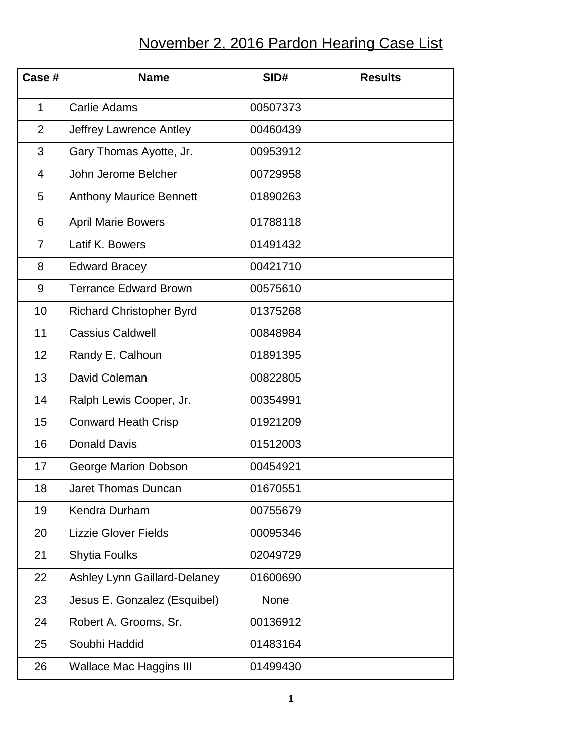## November 2, 2016 Pardon Hearing Case List

| Case #         | <b>Name</b>                     | SID#     | <b>Results</b> |
|----------------|---------------------------------|----------|----------------|
| $\mathbf{1}$   | <b>Carlie Adams</b>             | 00507373 |                |
| $\overline{2}$ | Jeffrey Lawrence Antley         | 00460439 |                |
| 3              | Gary Thomas Ayotte, Jr.         | 00953912 |                |
| $\overline{4}$ | John Jerome Belcher             | 00729958 |                |
| 5              | <b>Anthony Maurice Bennett</b>  | 01890263 |                |
| 6              | <b>April Marie Bowers</b>       | 01788118 |                |
| $\overline{7}$ | Latif K. Bowers                 | 01491432 |                |
| 8              | <b>Edward Bracey</b>            | 00421710 |                |
| 9              | <b>Terrance Edward Brown</b>    | 00575610 |                |
| 10             | <b>Richard Christopher Byrd</b> | 01375268 |                |
| 11             | <b>Cassius Caldwell</b>         | 00848984 |                |
| 12             | Randy E. Calhoun                | 01891395 |                |
| 13             | David Coleman                   | 00822805 |                |
| 14             | Ralph Lewis Cooper, Jr.         | 00354991 |                |
| 15             | <b>Conward Heath Crisp</b>      | 01921209 |                |
| 16             | <b>Donald Davis</b>             | 01512003 |                |
| 17             | George Marion Dobson            | 00454921 |                |
| 18             | Jaret Thomas Duncan             | 01670551 |                |
| 19             | Kendra Durham                   | 00755679 |                |
| 20             | <b>Lizzie Glover Fields</b>     | 00095346 |                |
| 21             | <b>Shytia Foulks</b>            | 02049729 |                |
| 22             | Ashley Lynn Gaillard-Delaney    | 01600690 |                |
| 23             | Jesus E. Gonzalez (Esquibel)    | None     |                |
| 24             | Robert A. Grooms, Sr.           | 00136912 |                |
| 25             | Soubhi Haddid                   | 01483164 |                |
| 26             | <b>Wallace Mac Haggins III</b>  | 01499430 |                |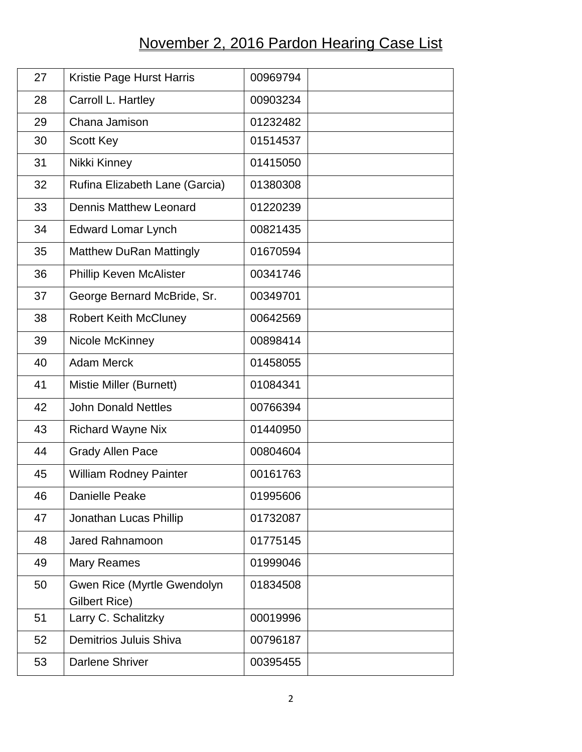## November 2, 2016 Pardon Hearing Case List

| 27 | Kristie Page Hurst Harris                    | 00969794 |
|----|----------------------------------------------|----------|
| 28 | Carroll L. Hartley                           | 00903234 |
| 29 | Chana Jamison                                | 01232482 |
| 30 | <b>Scott Key</b>                             | 01514537 |
| 31 | Nikki Kinney                                 | 01415050 |
| 32 | Rufina Elizabeth Lane (Garcia)               | 01380308 |
| 33 | <b>Dennis Matthew Leonard</b>                | 01220239 |
| 34 | <b>Edward Lomar Lynch</b>                    | 00821435 |
| 35 | <b>Matthew DuRan Mattingly</b>               | 01670594 |
| 36 | <b>Phillip Keven McAlister</b>               | 00341746 |
| 37 | George Bernard McBride, Sr.                  | 00349701 |
| 38 | <b>Robert Keith McCluney</b>                 | 00642569 |
| 39 | Nicole McKinney                              | 00898414 |
| 40 | <b>Adam Merck</b>                            | 01458055 |
| 41 | Mistie Miller (Burnett)                      | 01084341 |
| 42 | <b>John Donald Nettles</b>                   | 00766394 |
| 43 | <b>Richard Wayne Nix</b>                     | 01440950 |
| 44 | <b>Grady Allen Pace</b>                      | 00804604 |
| 45 | <b>William Rodney Painter</b>                | 00161763 |
| 46 | Danielle Peake                               | 01995606 |
| 47 | Jonathan Lucas Phillip                       | 01732087 |
| 48 | <b>Jared Rahnamoon</b>                       | 01775145 |
| 49 | <b>Mary Reames</b>                           | 01999046 |
| 50 | Gwen Rice (Myrtle Gwendolyn<br>Gilbert Rice) | 01834508 |
| 51 | Larry C. Schalitzky                          | 00019996 |
| 52 | Demitrios Juluis Shiva                       | 00796187 |
| 53 | <b>Darlene Shriver</b>                       | 00395455 |